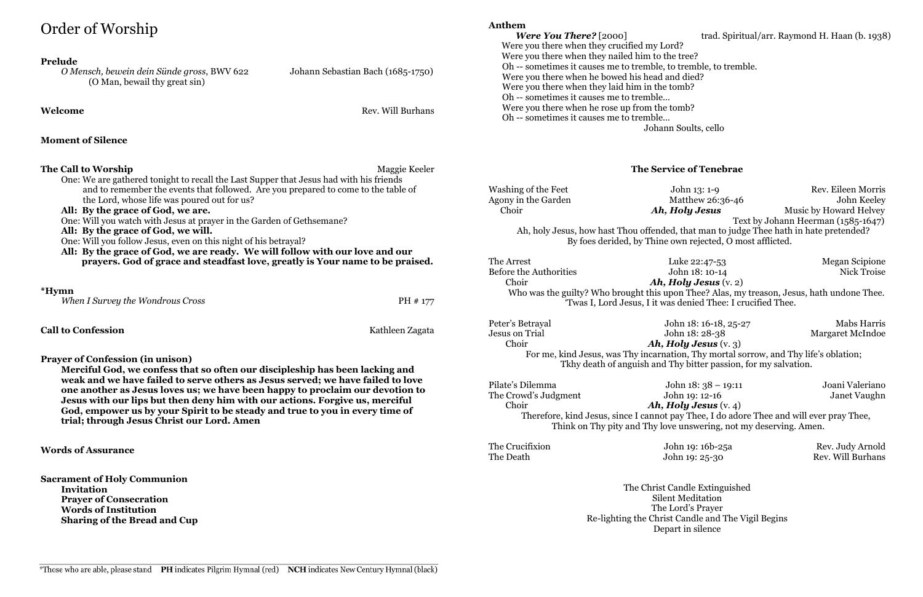# Order of Worship

#### **Prelude**

*O Mensch, bewein dein Sünde gross*, BWV 622 Johann Sebastian Bach (1685-1750) (O Man, bewail thy great sin)

## **Moment of Silence**

| <b>The Call to Worship</b><br>Maggie Keeler                                                                                                                      |                 | <b>The Servic</b>                                                       |                             |
|------------------------------------------------------------------------------------------------------------------------------------------------------------------|-----------------|-------------------------------------------------------------------------|-----------------------------|
| One: We are gathered to night to recall the Last Supper that Jesus had with his friends                                                                          |                 |                                                                         |                             |
| and to remember the events that followed. Are you prepared to come to the table of                                                                               |                 | Washing of the Feet                                                     | Jo                          |
| the Lord, whose life was poured out for us?<br>All: By the grace of God, we are.                                                                                 |                 | Agony in the Garden<br>Choir                                            | M <sub>i</sub><br>$Ah, H_0$ |
|                                                                                                                                                                  |                 |                                                                         |                             |
| All: By the grace of God, we will.<br>One: Will you follow Jesus, even on this night of his betrayal?                                                            |                 | Ah, holy Jesus, how hast Thou offended,<br>By foes derided, by Thine ow |                             |
|                                                                                                                                                                  |                 |                                                                         |                             |
| prayers. God of grace and steadfast love, greatly is Your name to be praised.                                                                                    |                 | The Arrest                                                              | Lu.                         |
|                                                                                                                                                                  |                 | Before the Authorities                                                  | Jol                         |
|                                                                                                                                                                  |                 | Choir                                                                   | Ah, Hc                      |
| *Hymn                                                                                                                                                            |                 | Who was the guilty? Who brought this upor                               |                             |
| When I Survey the Wondrous Cross                                                                                                                                 | PH # 177        | 'Twas I, Lord Jesus, I it was o                                         |                             |
| <b>Call to Confession</b>                                                                                                                                        | Kathleen Zagata | Peter's Betrayal                                                        | Joh                         |
|                                                                                                                                                                  |                 | Jesus on Trial                                                          | Joh                         |
|                                                                                                                                                                  |                 | Choir                                                                   | Ah, Ho                      |
|                                                                                                                                                                  |                 | For me, kind Jesus, was Thy incarnation                                 |                             |
| <b>Prayer of Confession (in unison)</b>                                                                                                                          |                 | Tkhy death of anguish and Th                                            |                             |
| Merciful God, we confess that so often our discipleship has been lacking and                                                                                     |                 |                                                                         |                             |
| weak and we have failed to serve others as Jesus served; we have failed to love<br>one another as Jesus loves us; we have been happy to proclaim our devotion to |                 | Pilate's Dilemma                                                        | Joh                         |
|                                                                                                                                                                  |                 | The Crowd's Judgment                                                    | Joh:                        |
| Jesus with our lips but then deny him with our actions. Forgive us, merciful                                                                                     |                 | Choir                                                                   | Ah, Ho                      |
| God, empower us by your Spirit to be steady and true to you in every time of<br>trial; through Jesus Christ our Lord. Amen                                       |                 | Therefore, kind Jesus, since I cannot pa                                |                             |
|                                                                                                                                                                  |                 | Think on Thy pity and Thy love                                          |                             |
| <b>Words of Assurance</b>                                                                                                                                        |                 | The Crucifixion                                                         | Joh:                        |
|                                                                                                                                                                  |                 | The Death                                                               | Joh                         |
| <b>Sacrament of Holy Communion</b>                                                                                                                               |                 |                                                                         |                             |
| <b>Invitation</b>                                                                                                                                                |                 |                                                                         | The Christ Car              |
| <b>Prayer of Consecration</b>                                                                                                                                    |                 |                                                                         | Silent I                    |
| <b>Words of Institution</b>                                                                                                                                      |                 |                                                                         | The Lo                      |
| <b>Sharing of the Bread and Cup</b>                                                                                                                              |                 | Re-lighting the Christ C                                                |                             |
|                                                                                                                                                                  |                 |                                                                         | Depart                      |

**Welcome** Rev. Will Burhans

*Were You There?* [2000] trad. Spiritual/arr. Raymond H. Haan (b. 1938) Were you there when they crucified my Lord? Were you there when they nailed him to the tree? Oh -- sometimes it causes me to tremble, to tremble, to tremble. Were you there when he bowed his head and died? Were you there when they laid him in the tomb? Oh -- sometimes it causes me to tremble… Were you there when he rose up from the tomb? Oh -- sometimes it causes me to tremble… Johann Soults, cello

#### **Tenebrae**

he Feet States and Text See. Eileen Morris atthew 26:36-46 John Keeley *Chy Jesus* Music by Howard Helvey Text by Johann Heerman (1585-1647) that man to judge Thee hath in hate pretended? vn rejected, O most afflicted.

ke 22:47-53 Megan Scipione hn 18: 10-14 Nick Troise Choir *Ah, Holy Jesus* (v. 2) on Thee? Alas, my treason, Jesus, hath undone Thee. denied Thee: I crucified Thee.

n 18: 16-18, 25-27 Mabs Harris n 18: 28-38 Margaret McIndoe Choir *Ah, Holy Jesus* (v. 3) on, Thy mortal sorrow, and Thy life's oblation; y bitter passion, for my salvation.

n 18: 38 – 19:11 Joani Valeriano n 19:12-16 Janet Vaughn *Ah, Jesus* (v. 4) ay Thee, I do adore Thee and will ever pray Thee, unswering, not my deserving. Amen.

n 19: 16b-25a Rev. Judy Arnold n 19: 25-30 Rev. Will Burhans

ndle Extinguished Meditation rd's Prayer Candle and The Vigil Begins t in silence

**Anthem**